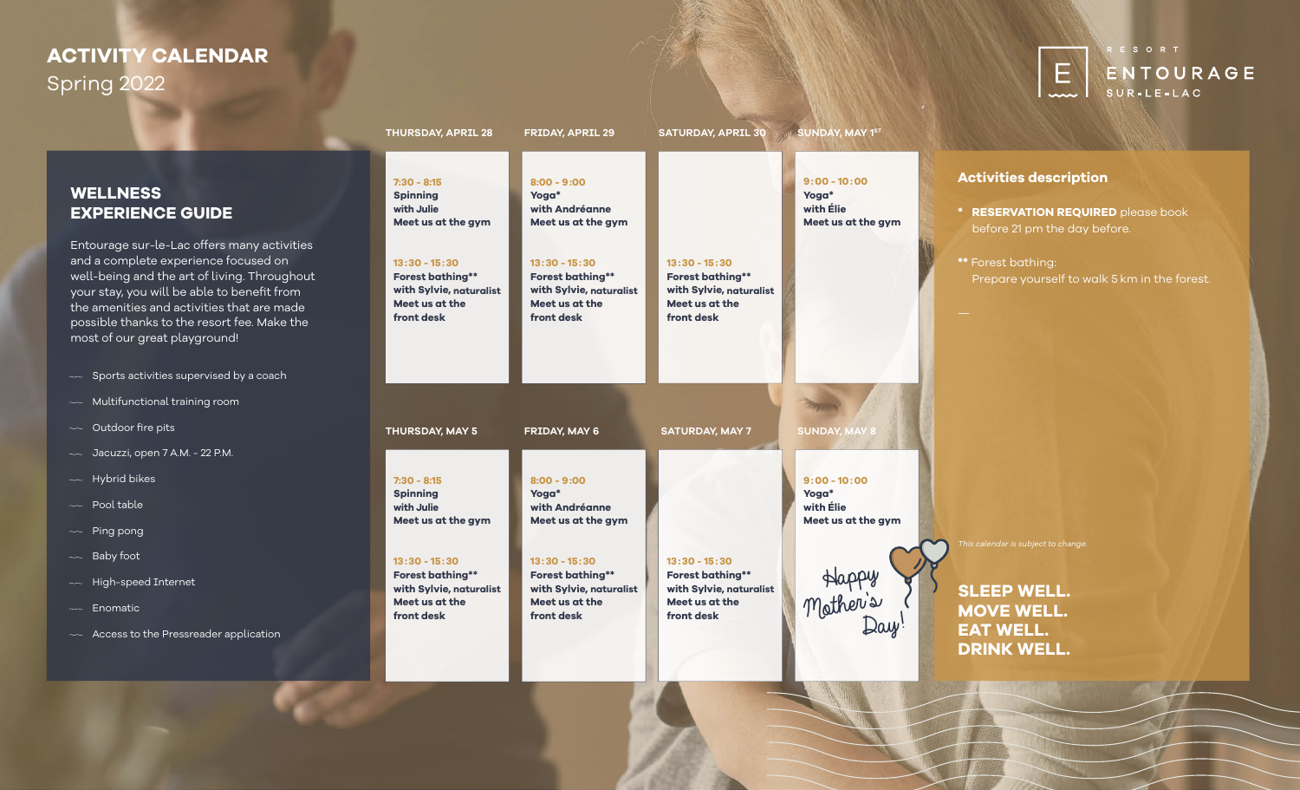# **ACTIVITY CALENDAR** Spring 2022



### **WELLNESS EXPERIENCE GUIDE**

Entourage sur-le-Lac offers many activities and a complete experience focused on well-being and the art of living. Throughout your stay, you will be able to benefit from the amenities and activities that are made possible thanks to the resort fee. Make the most of our great playground!

- $\sim$  Sports activities supervised by a coach
- $\sim$  Multifunctional training room
- $\sim$  Outdoor fire pits
- $\sim$  Jacuzzi, open 7 A.M. 22 P.M.
- $\sim$  Hybrid bikes
- $\sim$  Pool table
- $\sim$  Ping pong
- $\sim$  Baby foot
- $\sim$  High-speed Internet
- $\sim$  Enomatic
- $\sim$  Access to the Pressreader application

| <b>THURSDAY, APRIL 28</b>                                                                             | <b>FRIDAY, APRIL 29</b>                                                                               | SATURDAY, APRIL 30 SUNDAY, MAY 1ST                                                                    |                                                            |                                                                                                                          |
|-------------------------------------------------------------------------------------------------------|-------------------------------------------------------------------------------------------------------|-------------------------------------------------------------------------------------------------------|------------------------------------------------------------|--------------------------------------------------------------------------------------------------------------------------|
| $7:30 - 8:15$<br><b>Spinning</b><br>with Julie<br>Meet us at the gym                                  | $8:00 - 9:00$<br>Yoga*<br>with Andréanne<br>Meet us at the gym                                        |                                                                                                       | $9:00 - 10:00$<br>Yoga*<br>with Elie<br>Meet us at the gym | <b>Activities description</b><br>* RESERVATION REQUIRED please book<br>before 21 pm the day before.                      |
| $13:30 - 15:30$<br><b>Forest bathing**</b><br>with Sylvie, naturalist<br>Meet us at the<br>front desk | $13:30 - 15:30$<br><b>Forest bathing**</b><br>with Sylvie, naturalist<br>Meet us at the<br>front desk | $13:30 - 15:30$<br><b>Forest bathing**</b><br>with Sylvie, naturalist<br>Meet us at the<br>front desk |                                                            | <b>**</b> Forest bathing:<br>Prepare yourself to walk 5 km in the forest.                                                |
| THURSDAY, MAY 5                                                                                       | FRIDAY, MAY 6                                                                                         | <b>SATURDAY, MAY 7</b>                                                                                | <b>SUNDAY, MAY 8</b>                                       |                                                                                                                          |
| $7:30 - 8:15$<br><b>Spinning</b><br>with Julie<br>Meet us at the gym                                  | $8:00 - 9:00$<br>Yoga*<br>with Andréanne<br>Meet us at the gym                                        |                                                                                                       | $9:00 - 10:00$<br>Yoga*<br>with Élie<br>Meet us at the gym |                                                                                                                          |
| $13:30 - 15:30$<br><b>Forest bathing**</b><br>with Sylvie, naturalist<br>Meet us at the<br>front desk | $13:30 - 15:30$<br><b>Forest bathing**</b><br>with Sylvie, naturalist<br>Meet us at the<br>front desk | $13:30 - 15:30$<br><b>Forest bathing**</b><br>with Sylvie, naturalist<br>Meet us at the<br>front desk | Happy<br>Mother's                                          | This calendar is subject to change.<br><b>SLEEP WELL.</b><br><b>MOVE WELL.</b><br><b>EAT WELL.</b><br><b>DRINK WELL.</b> |